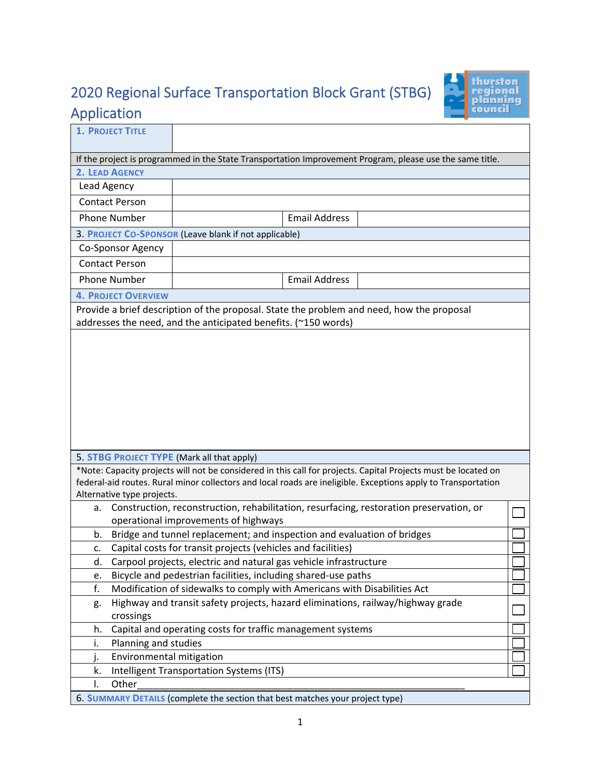## 2020 Regional Surface Transportation Block Grant (STBG) Application



| <b>1. PROJECT TITLE</b>                                                                                                                                                                                                                                                       |                                                                                           |  |  |  |
|-------------------------------------------------------------------------------------------------------------------------------------------------------------------------------------------------------------------------------------------------------------------------------|-------------------------------------------------------------------------------------------|--|--|--|
|                                                                                                                                                                                                                                                                               |                                                                                           |  |  |  |
| If the project is programmed in the State Transportation Improvement Program, please use the same title.                                                                                                                                                                      |                                                                                           |  |  |  |
| 2. LEAD AGENCY                                                                                                                                                                                                                                                                |                                                                                           |  |  |  |
| Lead Agency                                                                                                                                                                                                                                                                   |                                                                                           |  |  |  |
| <b>Contact Person</b>                                                                                                                                                                                                                                                         |                                                                                           |  |  |  |
| <b>Phone Number</b>                                                                                                                                                                                                                                                           | <b>Email Address</b>                                                                      |  |  |  |
|                                                                                                                                                                                                                                                                               | 3. PROJECT CO-SPONSOR (Leave blank if not applicable)                                     |  |  |  |
| Co-Sponsor Agency                                                                                                                                                                                                                                                             |                                                                                           |  |  |  |
| <b>Contact Person</b>                                                                                                                                                                                                                                                         |                                                                                           |  |  |  |
| <b>Phone Number</b>                                                                                                                                                                                                                                                           | <b>Email Address</b>                                                                      |  |  |  |
| <b>4. PROJECT OVERVIEW</b>                                                                                                                                                                                                                                                    |                                                                                           |  |  |  |
|                                                                                                                                                                                                                                                                               | Provide a brief description of the proposal. State the problem and need, how the proposal |  |  |  |
|                                                                                                                                                                                                                                                                               | addresses the need, and the anticipated benefits. (~150 words)                            |  |  |  |
| 5. STBG PROJECT TYPE (Mark all that apply)<br>*Note: Capacity projects will not be considered in this call for projects. Capital Projects must be located on<br>federal-aid routes. Rural minor collectors and local roads are ineligible. Exceptions apply to Transportation |                                                                                           |  |  |  |
| Alternative type projects.                                                                                                                                                                                                                                                    |                                                                                           |  |  |  |
| Construction, reconstruction, rehabilitation, resurfacing, restoration preservation, or<br>a.                                                                                                                                                                                 |                                                                                           |  |  |  |
| operational improvements of highways                                                                                                                                                                                                                                          |                                                                                           |  |  |  |
| Bridge and tunnel replacement; and inspection and evaluation of bridges<br>b.                                                                                                                                                                                                 |                                                                                           |  |  |  |
| Capital costs for transit projects (vehicles and facilities)<br>c.                                                                                                                                                                                                            |                                                                                           |  |  |  |
| Carpool projects, electric and natural gas vehicle infrastructure<br>d.                                                                                                                                                                                                       |                                                                                           |  |  |  |
| Bicycle and pedestrian facilities, including shared-use paths<br>e.                                                                                                                                                                                                           |                                                                                           |  |  |  |
| f.<br>Modification of sidewalks to comply with Americans with Disabilities Act<br>Highway and transit safety projects, hazard eliminations, railway/highway grade                                                                                                             |                                                                                           |  |  |  |
| g.<br>crossings                                                                                                                                                                                                                                                               |                                                                                           |  |  |  |
| Capital and operating costs for traffic management systems<br>h.                                                                                                                                                                                                              |                                                                                           |  |  |  |
| Planning and studies<br>i.                                                                                                                                                                                                                                                    |                                                                                           |  |  |  |
| Environmental mitigation<br>j.                                                                                                                                                                                                                                                |                                                                                           |  |  |  |
| Intelligent Transportation Systems (ITS)<br>k.                                                                                                                                                                                                                                |                                                                                           |  |  |  |
| Other<br>I.                                                                                                                                                                                                                                                                   |                                                                                           |  |  |  |
| 6. SUMMARY DETAILS (complete the section that best matches your project type)                                                                                                                                                                                                 |                                                                                           |  |  |  |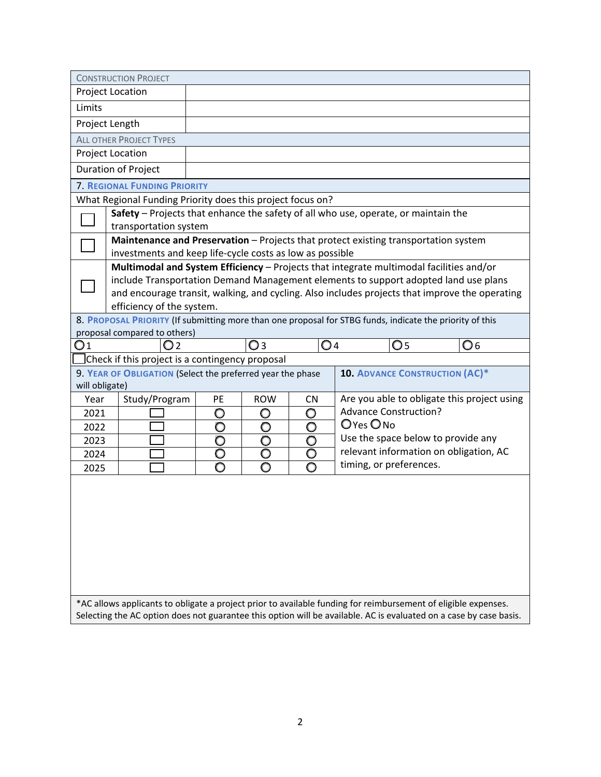| <b>CONSTRUCTION PROJECT</b>                                                                                    |                                                                                                                                          |    |                         |                         |                                       |     |                                                                                                                    |
|----------------------------------------------------------------------------------------------------------------|------------------------------------------------------------------------------------------------------------------------------------------|----|-------------------------|-------------------------|---------------------------------------|-----|--------------------------------------------------------------------------------------------------------------------|
|                                                                                                                | Project Location                                                                                                                         |    |                         |                         |                                       |     |                                                                                                                    |
| Limits                                                                                                         |                                                                                                                                          |    |                         |                         |                                       |     |                                                                                                                    |
|                                                                                                                | Project Length                                                                                                                           |    |                         |                         |                                       |     |                                                                                                                    |
|                                                                                                                | <b>ALL OTHER PROJECT TYPES</b>                                                                                                           |    |                         |                         |                                       |     |                                                                                                                    |
|                                                                                                                | Project Location                                                                                                                         |    |                         |                         |                                       |     |                                                                                                                    |
|                                                                                                                | Duration of Project                                                                                                                      |    |                         |                         |                                       |     |                                                                                                                    |
|                                                                                                                | <b>7. REGIONAL FUNDING PRIORITY</b>                                                                                                      |    |                         |                         |                                       |     |                                                                                                                    |
|                                                                                                                | What Regional Funding Priority does this project focus on?                                                                               |    |                         |                         |                                       |     |                                                                                                                    |
|                                                                                                                | Safety - Projects that enhance the safety of all who use, operate, or maintain the<br>transportation system                              |    |                         |                         |                                       |     |                                                                                                                    |
|                                                                                                                | Maintenance and Preservation - Projects that protect existing transportation system                                                      |    |                         |                         |                                       |     |                                                                                                                    |
|                                                                                                                | investments and keep life-cycle costs as low as possible                                                                                 |    |                         |                         |                                       |     |                                                                                                                    |
|                                                                                                                | Multimodal and System Efficiency - Projects that integrate multimodal facilities and/or                                                  |    |                         |                         |                                       |     |                                                                                                                    |
|                                                                                                                | include Transportation Demand Management elements to support adopted land use plans                                                      |    |                         |                         |                                       |     |                                                                                                                    |
|                                                                                                                |                                                                                                                                          |    |                         |                         |                                       |     | and encourage transit, walking, and cycling. Also includes projects that improve the operating                     |
|                                                                                                                | efficiency of the system.                                                                                                                |    |                         |                         |                                       |     |                                                                                                                    |
|                                                                                                                | 8. PROPOSAL PRIORITY (If submitting more than one proposal for STBG funds, indicate the priority of this<br>proposal compared to others) |    |                         |                         |                                       |     |                                                                                                                    |
| $\mathsf{O}1$                                                                                                  | O2                                                                                                                                       |    | O <sub>3</sub>          | $\bigcirc$ 4            |                                       | O 5 | O 6                                                                                                                |
|                                                                                                                | Check if this project is a contingency proposal                                                                                          |    |                         |                         |                                       |     |                                                                                                                    |
|                                                                                                                | 9. YEAR OF OBLIGATION (Select the preferred year the phase                                                                               |    |                         |                         | <b>10. ADVANCE CONSTRUCTION (AC)*</b> |     |                                                                                                                    |
| will obligate)                                                                                                 |                                                                                                                                          |    |                         |                         |                                       |     |                                                                                                                    |
| Year                                                                                                           | Study/Program                                                                                                                            | PE | <b>ROW</b>              | <b>CN</b>               |                                       |     | Are you able to obligate this project using                                                                        |
| 2021                                                                                                           |                                                                                                                                          | O  | $\circ$                 | $\circ$                 | <b>Advance Construction?</b>          |     |                                                                                                                    |
| 2022                                                                                                           |                                                                                                                                          | Ó  | Ō                       | O                       | O Yes O No                            |     |                                                                                                                    |
| 2023                                                                                                           |                                                                                                                                          | O  | O                       | $\circ$                 |                                       |     | Use the space below to provide any                                                                                 |
| 2024                                                                                                           |                                                                                                                                          | Ō  | $\overline{\mathsf{O}}$ | $\overline{\mathsf{O}}$ |                                       |     | relevant information on obligation, AC                                                                             |
| 2025                                                                                                           |                                                                                                                                          | O  | O                       |                         | timing, or preferences.               |     |                                                                                                                    |
|                                                                                                                |                                                                                                                                          |    |                         |                         |                                       |     |                                                                                                                    |
|                                                                                                                |                                                                                                                                          |    |                         |                         |                                       |     |                                                                                                                    |
|                                                                                                                |                                                                                                                                          |    |                         |                         |                                       |     |                                                                                                                    |
|                                                                                                                |                                                                                                                                          |    |                         |                         |                                       |     |                                                                                                                    |
|                                                                                                                |                                                                                                                                          |    |                         |                         |                                       |     |                                                                                                                    |
|                                                                                                                |                                                                                                                                          |    |                         |                         |                                       |     |                                                                                                                    |
|                                                                                                                |                                                                                                                                          |    |                         |                         |                                       |     |                                                                                                                    |
|                                                                                                                |                                                                                                                                          |    |                         |                         |                                       |     |                                                                                                                    |
| *AC allows applicants to obligate a project prior to available funding for reimbursement of eligible expenses. |                                                                                                                                          |    |                         |                         |                                       |     |                                                                                                                    |
|                                                                                                                |                                                                                                                                          |    |                         |                         |                                       |     | Selecting the AC option does not guarantee this option will be available. AC is evaluated on a case by case basis. |
|                                                                                                                |                                                                                                                                          |    |                         |                         |                                       |     |                                                                                                                    |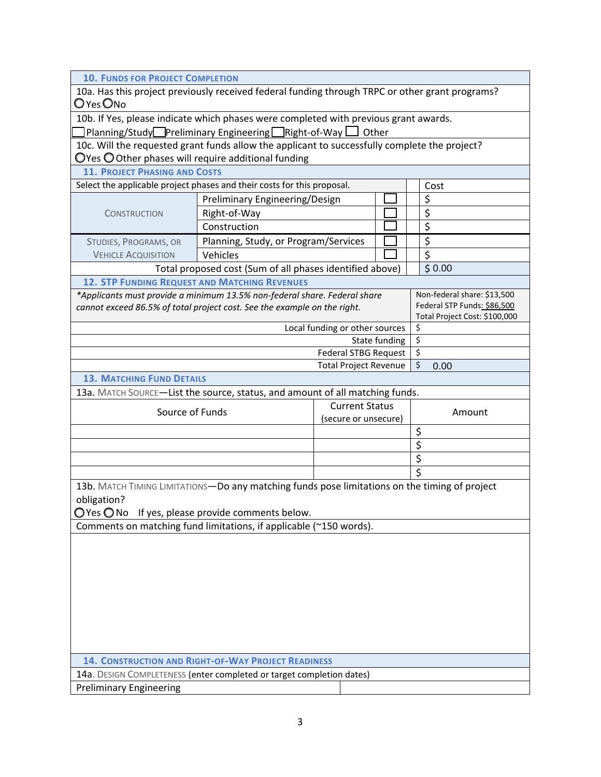| <b>10. FUNDS FOR PROJECT COMPLETION</b>                                                                                                                                             |                                                          |                                |               |                               |
|-------------------------------------------------------------------------------------------------------------------------------------------------------------------------------------|----------------------------------------------------------|--------------------------------|---------------|-------------------------------|
| 10a. Has this project previously received federal funding through TRPC or other grant programs?<br>O yes Ono                                                                        |                                                          |                                |               |                               |
| 10b. If Yes, please indicate which phases were completed with previous grant awards.                                                                                                |                                                          |                                |               |                               |
| $\Box$ Planning/Study $\Box$ Preliminary Engineering $\Box$ Right-of-Way $\Box$ Other                                                                                               |                                                          |                                |               |                               |
| 10c. Will the requested grant funds allow the applicant to successfully complete the project?                                                                                       |                                                          |                                |               |                               |
| $\bigcirc$ Yes $\bigcirc$ Other phases will require additional funding                                                                                                              |                                                          |                                |               |                               |
| <b>11. PROJECT PHASING AND COSTS</b>                                                                                                                                                |                                                          |                                |               |                               |
| Select the applicable project phases and their costs for this proposal.                                                                                                             |                                                          |                                |               | Cost                          |
|                                                                                                                                                                                     | Preliminary Engineering/Design                           |                                |               | \$                            |
| <b>CONSTRUCTION</b>                                                                                                                                                                 | Right-of-Way                                             |                                |               | \$                            |
|                                                                                                                                                                                     | Construction                                             |                                |               | \$                            |
| STUDIES, PROGRAMS, OR                                                                                                                                                               | Planning, Study, or Program/Services                     |                                |               | \$                            |
| <b>VEHICLE ACQUISITION</b>                                                                                                                                                          | Vehicles                                                 |                                |               | $\overline{\xi}$              |
|                                                                                                                                                                                     | Total proposed cost (Sum of all phases identified above) |                                |               | \$0.00                        |
| <b>12. STP FUNDING REQUEST AND MATCHING REVENUES</b>                                                                                                                                |                                                          |                                |               |                               |
| *Applicants must provide a minimum 13.5% non-federal share. Federal share                                                                                                           |                                                          |                                |               | Non-federal share: \$13,500   |
| cannot exceed 86.5% of total project cost. See the example on the right.                                                                                                            |                                                          |                                |               | Federal STP Funds: \$86,500   |
|                                                                                                                                                                                     |                                                          |                                |               | Total Project Cost: \$100,000 |
|                                                                                                                                                                                     |                                                          | Local funding or other sources |               | \$                            |
|                                                                                                                                                                                     |                                                          |                                | State funding | \$                            |
|                                                                                                                                                                                     |                                                          | Federal STBG Request           |               | \$                            |
|                                                                                                                                                                                     |                                                          | <b>Total Project Revenue</b>   |               | \$<br>0.00                    |
| <b>13. MATCHING FUND DETAILS</b>                                                                                                                                                    |                                                          |                                |               |                               |
| 13a. MATCH SOURCE-List the source, status, and amount of all matching funds.                                                                                                        |                                                          |                                |               |                               |
| Source of Funds                                                                                                                                                                     |                                                          | <b>Current Status</b>          |               | Amount                        |
|                                                                                                                                                                                     |                                                          | (secure or unsecure)           |               |                               |
|                                                                                                                                                                                     |                                                          |                                |               | \$                            |
|                                                                                                                                                                                     |                                                          |                                |               | $\overline{\xi}$              |
|                                                                                                                                                                                     |                                                          |                                |               | \$                            |
| $\overline{\mathsf{s}}$                                                                                                                                                             |                                                          |                                |               |                               |
| 13b. MATCH TIMING LIMITATIONS-Do any matching funds pose limitations on the timing of project<br>obligation?<br>$\bigcirc$ Yes $\bigcirc$ No If yes, please provide comments below. |                                                          |                                |               |                               |
| Comments on matching fund limitations, if applicable (~150 words).                                                                                                                  |                                                          |                                |               |                               |
|                                                                                                                                                                                     |                                                          |                                |               |                               |
| 14. CONSTRUCTION AND RIGHT-OF-WAY PROJECT READINESS                                                                                                                                 |                                                          |                                |               |                               |
| 14a. DESIGN COMPLETENESS (enter completed or target completion dates)<br><b>Preliminary Engineering</b>                                                                             |                                                          |                                |               |                               |
|                                                                                                                                                                                     |                                                          |                                |               |                               |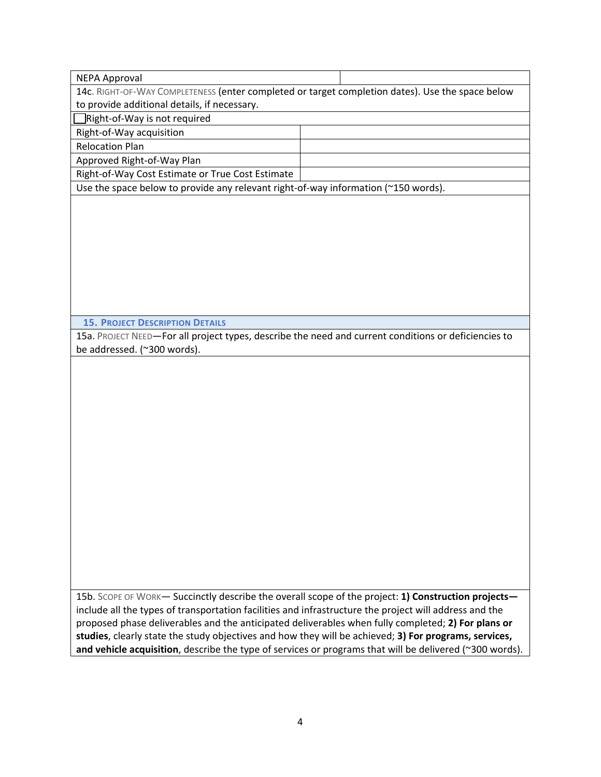| <b>NEPA Approval</b>                                                                                   |                                                                                                         |
|--------------------------------------------------------------------------------------------------------|---------------------------------------------------------------------------------------------------------|
| 14c. RIGHT-OF-WAY COMPLETENESS (enter completed or target completion dates). Use the space below       |                                                                                                         |
| to provide additional details, if necessary.                                                           |                                                                                                         |
| Right-of-Way is not required                                                                           |                                                                                                         |
| Right-of-Way acquisition                                                                               |                                                                                                         |
| <b>Relocation Plan</b>                                                                                 |                                                                                                         |
| Approved Right-of-Way Plan                                                                             |                                                                                                         |
| Right-of-Way Cost Estimate or True Cost Estimate                                                       |                                                                                                         |
| Use the space below to provide any relevant right-of-way information (~150 words).                     |                                                                                                         |
|                                                                                                        |                                                                                                         |
|                                                                                                        |                                                                                                         |
|                                                                                                        |                                                                                                         |
|                                                                                                        |                                                                                                         |
|                                                                                                        |                                                                                                         |
|                                                                                                        |                                                                                                         |
|                                                                                                        |                                                                                                         |
|                                                                                                        |                                                                                                         |
|                                                                                                        |                                                                                                         |
|                                                                                                        |                                                                                                         |
|                                                                                                        |                                                                                                         |
| <b>15. PROJECT DESCRIPTION DETAILS</b>                                                                 |                                                                                                         |
| 15a. PROJECT NEED-For all project types, describe the need and current conditions or deficiencies to   |                                                                                                         |
| be addressed. (~300 words).                                                                            |                                                                                                         |
|                                                                                                        |                                                                                                         |
|                                                                                                        |                                                                                                         |
|                                                                                                        |                                                                                                         |
|                                                                                                        |                                                                                                         |
|                                                                                                        |                                                                                                         |
|                                                                                                        |                                                                                                         |
|                                                                                                        |                                                                                                         |
|                                                                                                        |                                                                                                         |
|                                                                                                        |                                                                                                         |
|                                                                                                        |                                                                                                         |
|                                                                                                        |                                                                                                         |
|                                                                                                        |                                                                                                         |
|                                                                                                        |                                                                                                         |
|                                                                                                        |                                                                                                         |
|                                                                                                        |                                                                                                         |
|                                                                                                        |                                                                                                         |
|                                                                                                        |                                                                                                         |
|                                                                                                        |                                                                                                         |
|                                                                                                        |                                                                                                         |
|                                                                                                        |                                                                                                         |
| 15b. SCOPE OF WORK- Succinctly describe the overall scope of the project: 1) Construction projects-    |                                                                                                         |
| include all the types of transportation facilities and infrastructure the project will address and the |                                                                                                         |
| proposed phase deliverables and the anticipated deliverables when fully completed; 2) For plans or     |                                                                                                         |
| studies, clearly state the study objectives and how they will be achieved; 3) For programs, services,  |                                                                                                         |
|                                                                                                        | and vehicle acquisition, describe the type of services or programs that will be delivered (~300 words). |
|                                                                                                        |                                                                                                         |
|                                                                                                        |                                                                                                         |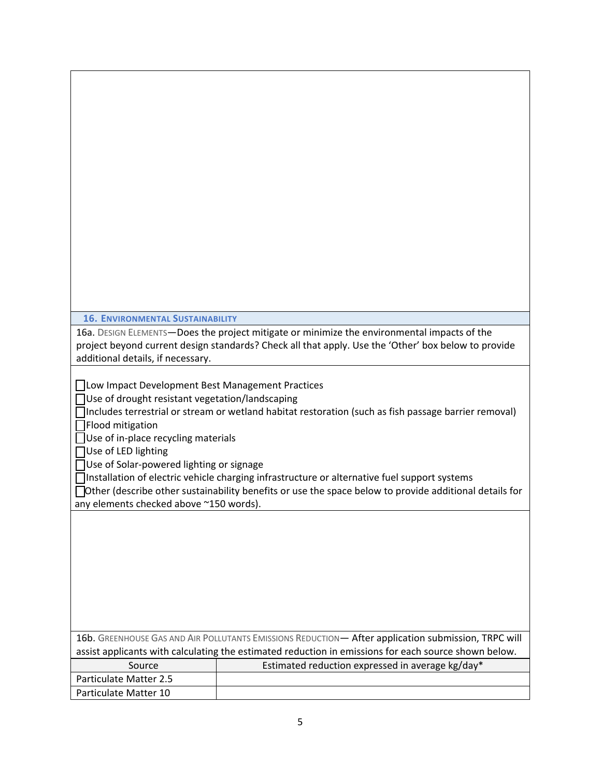| <b>16. ENVIRONMENTAL SUSTAINABILITY</b>                                                                                                                                                                                                                                        |                                                                                                                                                                                                                                                                                                                        |
|--------------------------------------------------------------------------------------------------------------------------------------------------------------------------------------------------------------------------------------------------------------------------------|------------------------------------------------------------------------------------------------------------------------------------------------------------------------------------------------------------------------------------------------------------------------------------------------------------------------|
| additional details, if necessary.                                                                                                                                                                                                                                              | 16a. DESIGN ELEMENTS-Does the project mitigate or minimize the environmental impacts of the<br>project beyond current design standards? Check all that apply. Use the 'Other' box below to provide                                                                                                                     |
| □ Low Impact Development Best Management Practices<br>Use of drought resistant vegetation/landscaping<br>Flood mitigation<br>Use of in-place recycling materials<br>Use of LED lighting<br>Use of Solar-powered lighting or signage<br>any elements checked above ~150 words). | Includes terrestrial or stream or wetland habitat restoration (such as fish passage barrier removal)<br>□Installation of electric vehicle charging infrastructure or alternative fuel support systems<br>$\Box$ Other (describe other sustainability benefits or use the space below to provide additional details for |
|                                                                                                                                                                                                                                                                                | 16b. GREENHOUSE GAS AND AIR POLLUTANTS EMISSIONS REDUCTION- After application submission, TRPC will                                                                                                                                                                                                                    |
|                                                                                                                                                                                                                                                                                | assist applicants with calculating the estimated reduction in emissions for each source shown below.                                                                                                                                                                                                                   |
| Source                                                                                                                                                                                                                                                                         | Estimated reduction expressed in average kg/day*                                                                                                                                                                                                                                                                       |
| <b>Particulate Matter 2.5</b>                                                                                                                                                                                                                                                  |                                                                                                                                                                                                                                                                                                                        |
| Particulate Matter 10                                                                                                                                                                                                                                                          |                                                                                                                                                                                                                                                                                                                        |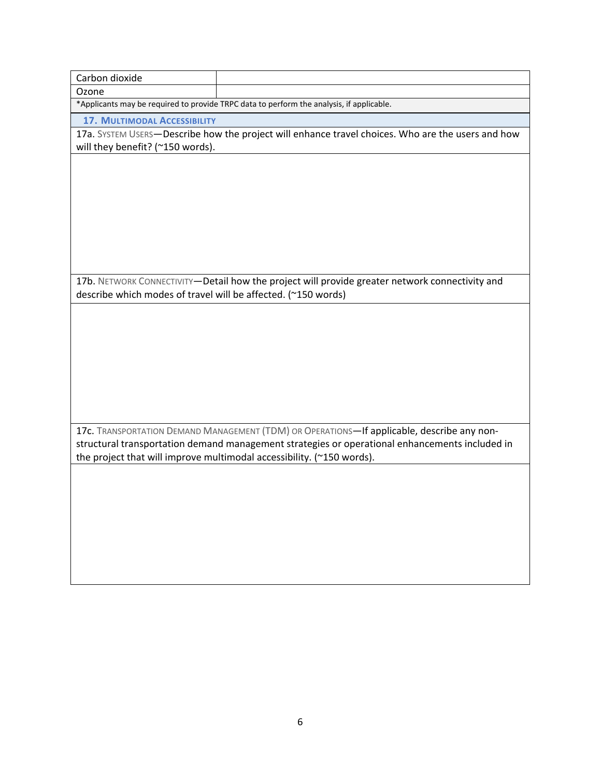| Carbon dioxide                                                                           |                                                                                                   |  |  |  |
|------------------------------------------------------------------------------------------|---------------------------------------------------------------------------------------------------|--|--|--|
| Ozone                                                                                    |                                                                                                   |  |  |  |
| *Applicants may be required to provide TRPC data to perform the analysis, if applicable. |                                                                                                   |  |  |  |
| <b>17. MULTIMODAL ACCESSIBILITY</b>                                                      |                                                                                                   |  |  |  |
|                                                                                          | 17a. SYSTEM USERS-Describe how the project will enhance travel choices. Who are the users and how |  |  |  |
| will they benefit? (~150 words).                                                         |                                                                                                   |  |  |  |
|                                                                                          |                                                                                                   |  |  |  |
|                                                                                          |                                                                                                   |  |  |  |
|                                                                                          |                                                                                                   |  |  |  |
|                                                                                          |                                                                                                   |  |  |  |
|                                                                                          |                                                                                                   |  |  |  |
|                                                                                          |                                                                                                   |  |  |  |
|                                                                                          |                                                                                                   |  |  |  |
|                                                                                          | 17b. NETWORK CONNECTIVITY-Detail how the project will provide greater network connectivity and    |  |  |  |
| describe which modes of travel will be affected. (~150 words)                            |                                                                                                   |  |  |  |
|                                                                                          |                                                                                                   |  |  |  |
|                                                                                          |                                                                                                   |  |  |  |
|                                                                                          |                                                                                                   |  |  |  |
|                                                                                          |                                                                                                   |  |  |  |
|                                                                                          |                                                                                                   |  |  |  |
|                                                                                          |                                                                                                   |  |  |  |
|                                                                                          |                                                                                                   |  |  |  |
|                                                                                          |                                                                                                   |  |  |  |
|                                                                                          | 17c. TRANSPORTATION DEMAND MANAGEMENT (TDM) OR OPERATIONS-If applicable, describe any non-        |  |  |  |
|                                                                                          | structural transportation demand management strategies or operational enhancements included in    |  |  |  |
|                                                                                          | the project that will improve multimodal accessibility. (~150 words).                             |  |  |  |
|                                                                                          |                                                                                                   |  |  |  |
|                                                                                          |                                                                                                   |  |  |  |
|                                                                                          |                                                                                                   |  |  |  |
|                                                                                          |                                                                                                   |  |  |  |
|                                                                                          |                                                                                                   |  |  |  |
|                                                                                          |                                                                                                   |  |  |  |
|                                                                                          |                                                                                                   |  |  |  |
|                                                                                          |                                                                                                   |  |  |  |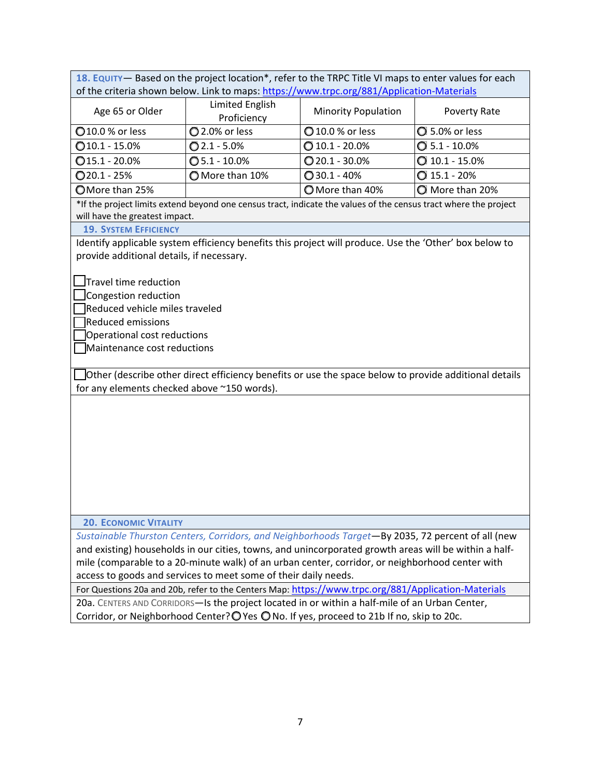**18. EQUITY**— Based on the project location\*, refer to the TRPC Title VI maps to enter values for each of the criteria shown below. Link to maps: https://www.trpc.org/881/Application-Materials

| Age 65 or Older        | Limited English<br>Proficiency | <b>Minority Population</b> | Poverty Rate          |
|------------------------|--------------------------------|----------------------------|-----------------------|
| <b>Q10.0 % or less</b> | 2.0% or less                   | 10.0 % or less             | <b>Q</b> 5.0% or less |
| $Q$ 10.1 - 15.0%       | $Q$ 2.1 - 5.0%                 | $Q$ 10.1 - 20.0%           | $Q$ 5.1 - 10.0%       |
| $Q$ 15.1 - 20.0%       | $\bigcirc$ 5.1 - 10.0%         | $Q$ 20.1 - 30.0%           | $Q$ 10.1 - 15.0%      |
| $Q$ 20.1 - 25%         | O More than 10%                | $Q$ 30.1 - 40%             | $Q$ 15.1 - 20%        |
| OMore than 25%         |                                | O More than 40%            | More than 20%         |

\*If the project limits extend beyond one census tract, indicate the values of the census tract where the project will have the greatest impact.

## **19. SYSTEM EFFICIENCY**

Identify applicable system efficiency benefits this project will produce. Use the 'Other' box below to provide additional details, if necessary.

**Travel time reduction** 

Congestion reduction

Reduced vehicle miles traveled

Reduced emissions

**Operational cost reductions** 

Maintenance cost reductions

 Other (describe other direct efficiency benefits or use the space below to provide additional details for any elements checked above ~150 words).

## **20. ECONOMIC VITALITY**

*Sustainable Thurston Centers, Corridors, and Neighborhoods Target*—By 2035, 72 percent of all (new and existing) households in our cities, towns, and unincorporated growth areas will be within a half‐ mile (comparable to a 20-minute walk) of an urban center, corridor, or neighborhood center with access to goods and services to meet some of their daily needs.

For Questions 20a and 20b, refer to the Centers Map: https://www.trpc.org/881/Application‐Materials 20a. CENTERS AND CORRIDORS—Is the project located in or within a half-mile of an Urban Center, Corridor, or Neighborhood Center? $\bigcirc$  Yes  $\bigcirc$  No. If yes, proceed to 21b If no, skip to 20c.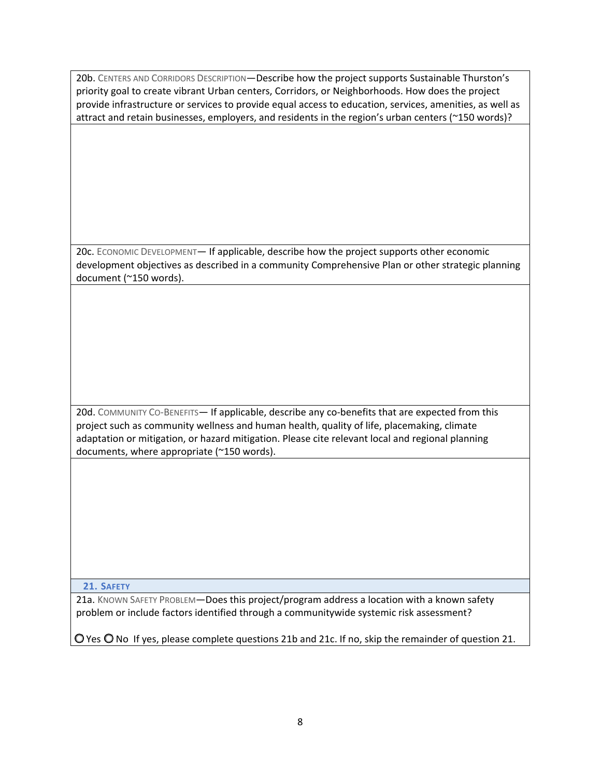20b. CENTERS AND CORRIDORS DESCRIPTION—Describe how the project supports Sustainable Thurston's priority goal to create vibrant Urban centers, Corridors, or Neighborhoods. How does the project provide infrastructure or services to provide equal access to education, services, amenities, as well as attract and retain businesses, employers, and residents in the region's urban centers (~150 words)?

20c. ECONOMIC DEVELOPMENT— If applicable, describe how the project supports other economic development objectives as described in a community Comprehensive Plan or other strategic planning document (~150 words).

20d. COMMUNITY CO-BENEFITS— If applicable, describe any co-benefits that are expected from this project such as community wellness and human health, quality of life, placemaking, climate adaptation or mitigation, or hazard mitigation. Please cite relevant local and regional planning documents, where appropriate (~150 words).

**21. SAFETY**

21a. KNOWN SAFETY PROBLEM-Does this project/program address a location with a known safety problem or include factors identified through a communitywide systemic risk assessment?

O Yes O No If yes, please complete questions 21b and 21c. If no, skip the remainder of question 21.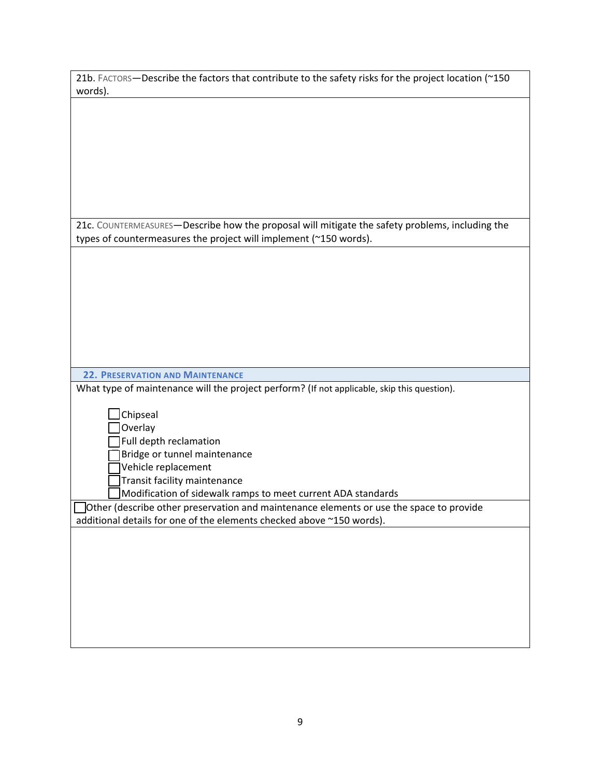| 21b. FACTORS-Describe the factors that contribute to the safety risks for the project location (~150<br>words).                                                      |
|----------------------------------------------------------------------------------------------------------------------------------------------------------------------|
|                                                                                                                                                                      |
|                                                                                                                                                                      |
|                                                                                                                                                                      |
|                                                                                                                                                                      |
|                                                                                                                                                                      |
|                                                                                                                                                                      |
|                                                                                                                                                                      |
| 21c. COUNTERMEASURES-Describe how the proposal will mitigate the safety problems, including the<br>types of countermeasures the project will implement (~150 words). |
|                                                                                                                                                                      |
|                                                                                                                                                                      |
|                                                                                                                                                                      |
|                                                                                                                                                                      |
|                                                                                                                                                                      |
|                                                                                                                                                                      |
|                                                                                                                                                                      |
| <b>22. PRESERVATION AND MAINTENANCE</b>                                                                                                                              |
| What type of maintenance will the project perform? (If not applicable, skip this question).                                                                          |
|                                                                                                                                                                      |
| Chipseal<br>Overlay                                                                                                                                                  |
| Full depth reclamation                                                                                                                                               |
| Bridge or tunnel maintenance                                                                                                                                         |
| Vehicle replacement                                                                                                                                                  |
| Transit facility maintenance<br>Modification of sidewalk ramps to meet current ADA standards                                                                         |
| Other (describe other preservation and maintenance elements or use the space to provide                                                                              |
| additional details for one of the elements checked above ~150 words).                                                                                                |
|                                                                                                                                                                      |
|                                                                                                                                                                      |
|                                                                                                                                                                      |
|                                                                                                                                                                      |
|                                                                                                                                                                      |
|                                                                                                                                                                      |
|                                                                                                                                                                      |